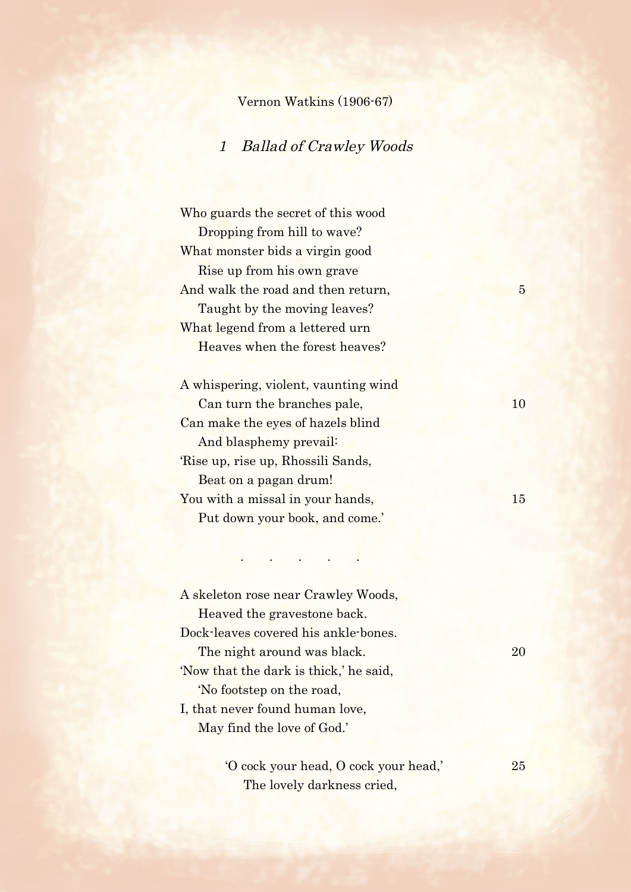## Vernon Watkins (1906-67)

## 1 Ballad of Crawley Woods

Who guards the secret of this wood Dropping from hill to wave? What monster bids a virgin good Rise up from his own grave And walk the road and then return, 5 Taught by the moving leaves? What legend from a lettered urn Heaves when the forest heaves?

A whispering, violent, vaunting wind Can turn the branches pale, 10 Can make the eyes of hazels blind And blasphemy prevail: 'Rise up, rise up, Rhossili Sands, Beat on a pagan drum! You with a missal in your hands, 15 Put down your book, and come.'

. . . . .

A skeleton rose near Crawley Woods, Heaved the gravestone back. Dock-leaves covered his ankle-bones. The night around was black. 20 'Now that the dark is thick,' he said, 'No footstep on the road, I, that never found human love, May find the love of God.'

> 'O cock your head, O cock your head,' 25 The lovely darkness cried,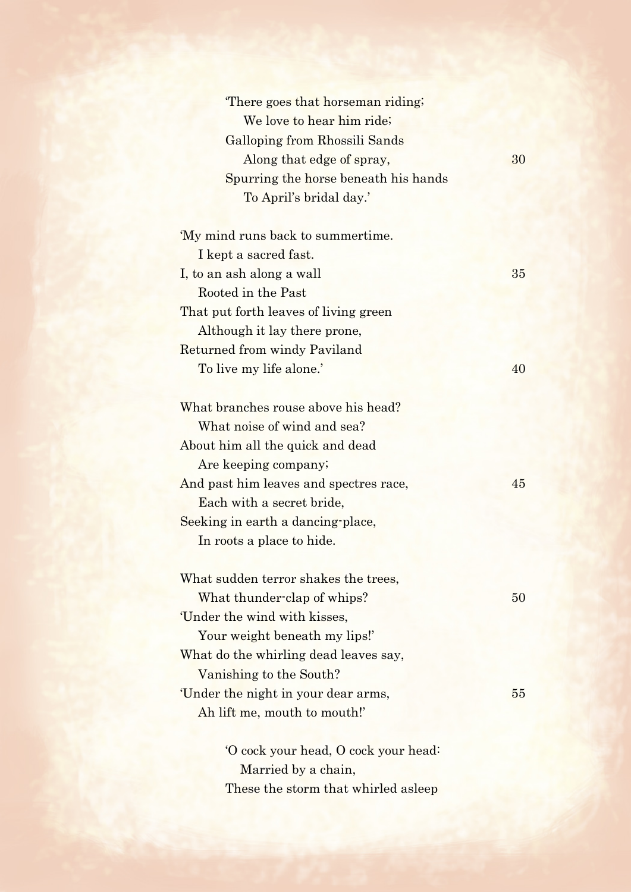| There goes that horseman riding;     |    |
|--------------------------------------|----|
| We love to hear him ride;            |    |
| Galloping from Rhossili Sands        |    |
| Along that edge of spray,            | 30 |
| Spurring the horse beneath his hands |    |
| To April's bridal day.'              |    |
|                                      |    |

| 'My mind runs back to summertime.     |    |
|---------------------------------------|----|
| I kept a sacred fast.                 |    |
| I, to an ash along a wall             | 35 |
| Rooted in the Past                    |    |
| That put forth leaves of living green |    |
| Although it lay there prone,          |    |
| Returned from windy Paviland          |    |
| To live my life alone.'               |    |
|                                       |    |

| What branches rouse above his head?    |    |
|----------------------------------------|----|
| What noise of wind and sea?            |    |
| About him all the quick and dead       |    |
| Are keeping company;                   |    |
| And past him leaves and spectres race, | 45 |
| Each with a secret bride,              |    |
| Seeking in earth a dancing-place,      |    |
| In roots a place to hide.              |    |

| What sudden terror shakes the trees,  |     |
|---------------------------------------|-----|
| What thunder-clap of whips?           | 50  |
| Under the wind with kisses,           |     |
| Your weight beneath my lips!'         |     |
| What do the whirling dead leaves say, |     |
| Vanishing to the South?               |     |
| Under the night in your dear arms,    | 55. |
| Ah lift me, mouth to mouth!'          |     |
|                                       |     |

'O cock your head, O cock your head: Married by a chain, These the storm that whirled asleep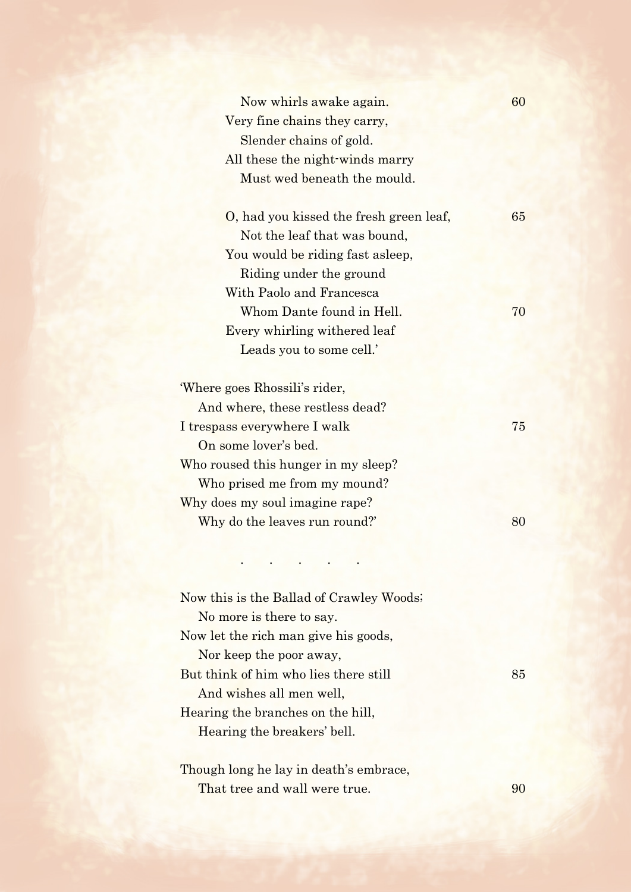| Now whirls awake again.                 | 60 |
|-----------------------------------------|----|
| Very fine chains they carry,            |    |
| Slender chains of gold.                 |    |
| All these the night-winds marry         |    |
| Must wed beneath the mould.             |    |
|                                         |    |
| O, had you kissed the fresh green leaf, | 65 |
| Not the leaf that was bound,            |    |
| You would be riding fast asleep,        |    |
| Riding under the ground                 |    |
| With Paolo and Francesca                |    |
| Whom Dante found in Hell.               | 70 |
| Every whirling withered leaf            |    |
| Leads you to some cell.'                |    |
| 'Where goes Rhossili's rider,           |    |
| And where, these restless dead?         |    |
| I trespass everywhere I walk            | 75 |
| On some lover's bed.                    |    |
| Who roused this hunger in my sleep?     |    |
| Who prised me from my mound?            |    |
| Why does my soul imagine rape?          |    |
| Why do the leaves run round?'           | 80 |
|                                         |    |
|                                         |    |

Now this is the Ballad of Crawley Woods; No more is there to say. Now let the rich man give his goods, Nor keep the poor away, But think of him who lies there still 85 And wishes all men well, Hearing the branches on the hill, Hearing the breakers' bell.

Though long he lay in death's embrace, That tree and wall were true. 90